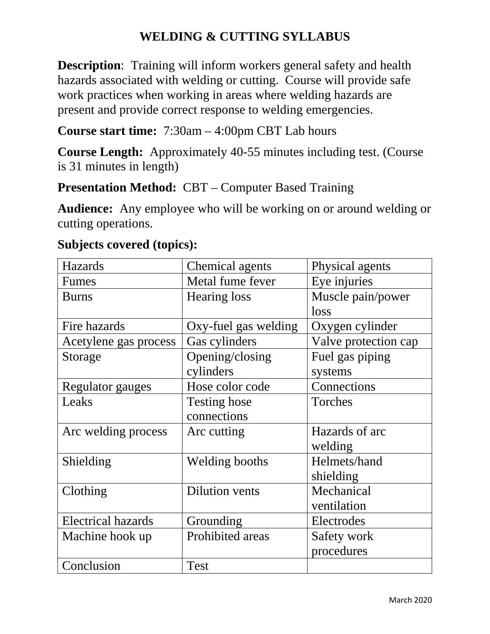## **WELDING & CUTTING SYLLABUS**

**Description**: Training will inform workers general safety and health hazards associated with welding or cutting. Course will provide safe work practices when working in areas where welding hazards are present and provide correct response to welding emergencies.

**Course start time:** 7:30am – 4:00pm CBT Lab hours

**Course Length:** Approximately 40-55 minutes including test. (Course is 31 minutes in length)

**Presentation Method:** CBT – Computer Based Training

**Audience:** Any employee who will be working on or around welding or cutting operations.

| Hazards                   | Chemical agents      | Physical agents      |
|---------------------------|----------------------|----------------------|
| <b>Fumes</b>              | Metal fume fever     | Eye injuries         |
| <b>Burns</b>              | <b>Hearing loss</b>  | Muscle pain/power    |
|                           |                      | loss                 |
| Fire hazards              | Oxy-fuel gas welding | Oxygen cylinder      |
| Acetylene gas process     | Gas cylinders        | Valve protection cap |
| Storage                   | Opening/closing      | Fuel gas piping      |
|                           | cylinders            | systems              |
| <b>Regulator gauges</b>   | Hose color code      | Connections          |
| Leaks                     | <b>Testing hose</b>  | Torches              |
|                           | connections          |                      |
| Arc welding process       | Arc cutting          | Hazards of arc       |
|                           |                      | welding              |
| Shielding                 | Welding booths       | Helmets/hand         |
|                           |                      | shielding            |
| Clothing                  | Dilution vents       | Mechanical           |
|                           |                      | ventilation          |
| <b>Electrical hazards</b> | Grounding            | Electrodes           |
| Machine hook up           | Prohibited areas     | Safety work          |
|                           |                      | procedures           |
| Conclusion                | <b>Test</b>          |                      |

## **Subjects covered (topics):**